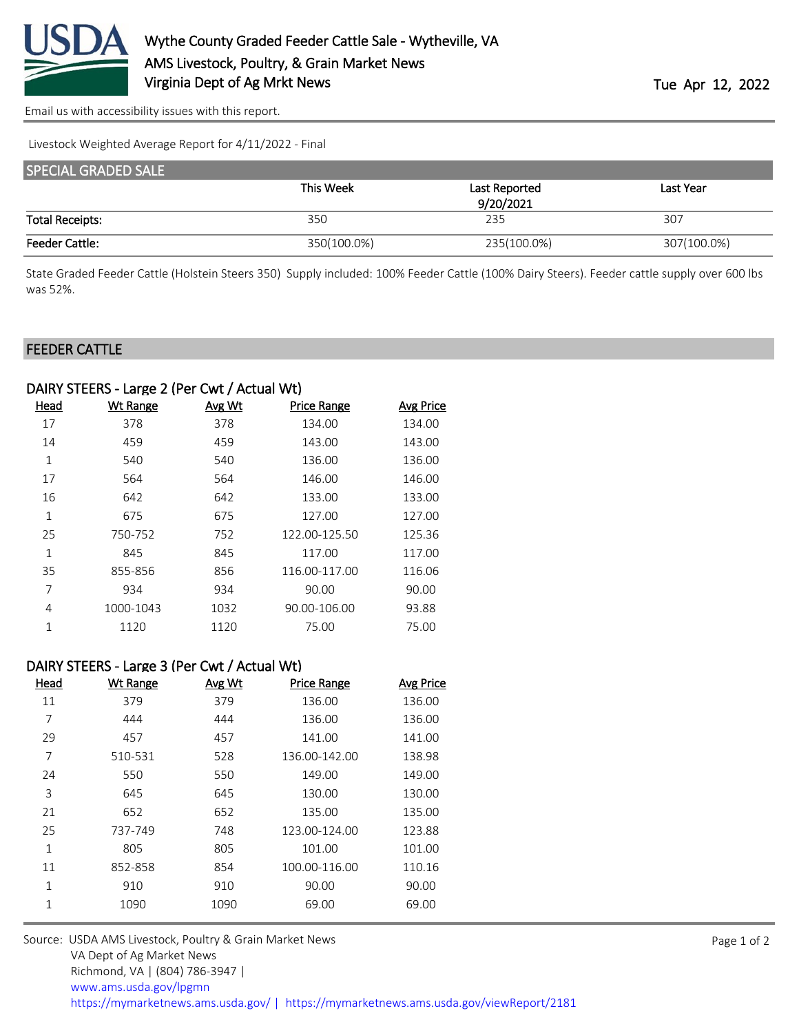

[Email us with accessibility issues with this report.](mailto:mars@ams.usda.gov?subject=508%20issue)

Livestock Weighted Average Report for 4/11/2022 - Final

| <b>SPECIAL GRADED SALE</b> |             |               |             |
|----------------------------|-------------|---------------|-------------|
|                            | This Week   | Last Reported | Last Year   |
|                            |             | 9/20/2021     |             |
| <b>Total Receipts:</b>     | 350         | 235           | 307         |
| <b>Feeder Cattle:</b>      | 350(100.0%) | 235(100.0%)   | 307(100.0%) |

State Graded Feeder Cattle (Holstein Steers 350) Supply included: 100% Feeder Cattle (100% Dairy Steers). Feeder cattle supply over 600 lbs was 52%.

## FEEDER CATTLE

| DAIRY STEERS - Large 2 (Per Cwt / Actual Wt) |                 |               |               |                  |
|----------------------------------------------|-----------------|---------------|---------------|------------------|
| Head                                         | <b>Wt Range</b> | <b>Avg Wt</b> | Price Range   | <b>Avg Price</b> |
| 17                                           | 378             | 378           | 134.00        | 134.00           |
| 14                                           | 459             | 459           | 143.00        | 143.00           |
| 1                                            | 540             | 540           | 136.00        | 136.00           |
| 17                                           | 564             | 564           | 146.00        | 146.00           |
| 16                                           | 642             | 642           | 133.00        | 133.00           |
| 1                                            | 675             | 675           | 127.00        | 127.00           |
| 25                                           | 750-752         | 752           | 122.00-125.50 | 125.36           |
| $\mathbf{1}$                                 | 845             | 845           | 117.00        | 117.00           |
| 35                                           | 855-856         | 856           | 116.00-117.00 | 116.06           |
| 7                                            | 934             | 934           | 90.00         | 90.00            |
| 4                                            | 1000-1043       | 1032          | 90.00-106.00  | 93.88            |
| 1                                            | 1120            | 1120          | 75.00         | 75.00            |
|                                              |                 |               |               |                  |

## DAIRY STEERS - Large 3 (Per Cwt / Actual Wt)

| Head         | <b>Wt Range</b> | Avg Wt | <b>Price Range</b> | <b>Avg Price</b> |
|--------------|-----------------|--------|--------------------|------------------|
| 11           | 379             | 379    | 136.00             | 136.00           |
| 7            | 444             | 444    | 136.00             | 136.00           |
| 29           | 457             | 457    | 141.00             | 141.00           |
| 7            | 510-531         | 528    | 136.00-142.00      | 138.98           |
| 24           | 550             | 550    | 149.00             | 149.00           |
| 3            | 645             | 645    | 130.00             | 130.00           |
| 21           | 652             | 652    | 135.00             | 135.00           |
| 25           | 737-749         | 748    | 123.00-124.00      | 123.88           |
| $\mathbf{1}$ | 805             | 805    | 101.00             | 101.00           |
| 11           | 852-858         | 854    | 100.00-116.00      | 110.16           |
| 1            | 910             | 910    | 90.00              | 90.00            |
| 1            | 1090            | 1090   | 69.00              | 69.00            |

Source: USDA AMS Livestock, Poultry & Grain Market News VA Dept of Ag Market News Richmond, VA | (804) 786-3947 | [www.ams.usda.gov/lpgmn](https://www.ams.usda.gov/market-news) <https://mymarketnews.ams.usda.gov/> [|](https://www.ams.usda.gov/market-news) <https://mymarketnews.ams.usda.gov/viewReport/2181>